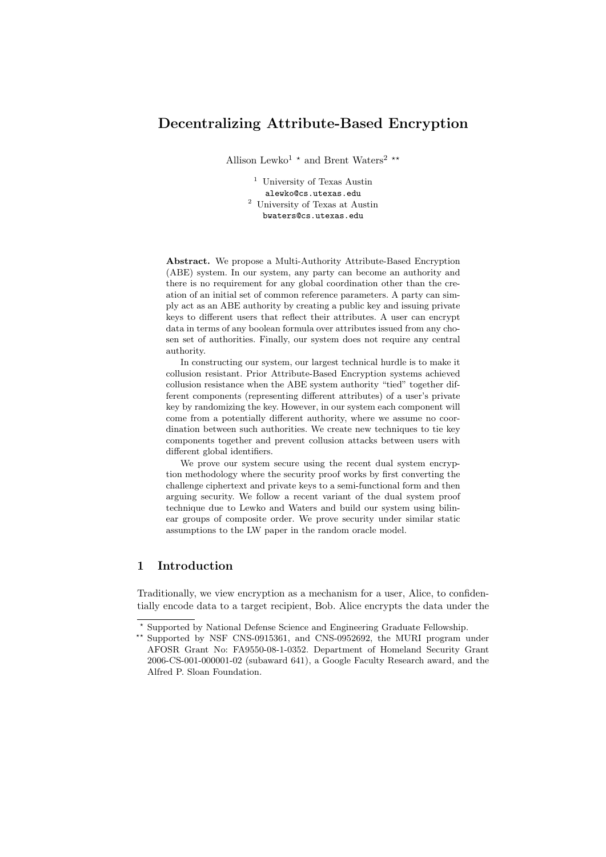# **Decentralizing Attribute-Based Encryption**

Allison Lewko<sup>1</sup> <sup>★</sup> and Brent Waters<sup>2</sup> \*\*

<sup>1</sup> University of Texas Austin alewko@cs.utexas.edu <sup>2</sup> University of Texas at Austin bwaters@cs.utexas.edu

**Abstract.** We propose a Multi-Authority Attribute-Based Encryption (ABE) system. In our system, any party can become an authority and there is no requirement for any global coordination other than the creation of an initial set of common reference parameters. A party can simply act as an ABE authority by creating a public key and issuing private keys to different users that reflect their attributes. A user can encrypt data in terms of any boolean formula over attributes issued from any chosen set of authorities. Finally, our system does not require any central authority.

In constructing our system, our largest technical hurdle is to make it collusion resistant. Prior Attribute-Based Encryption systems achieved collusion resistance when the ABE system authority "tied" together different components (representing different attributes) of a user's private key by randomizing the key. However, in our system each component will come from a potentially different authority, where we assume no coordination between such authorities. We create new techniques to tie key components together and prevent collusion attacks between users with different global identifiers.

We prove our system secure using the recent dual system encryption methodology where the security proof works by first converting the challenge ciphertext and private keys to a semi-functional form and then arguing security. We follow a recent variant of the dual system proof technique due to Lewko and Waters and build our system using bilinear groups of composite order. We prove security under similar static assumptions to the LW paper in the random oracle model.

## **1 Introduction**

Traditionally, we view encryption as a mechanism for a user, Alice, to confidentially encode data to a target recipient, Bob. Alice encrypts the data under the

*<sup>⋆</sup>* Supported by National Defense Science and Engineering Graduate Fellowship.

*<sup>⋆⋆</sup>* Supported by NSF CNS-0915361, and CNS-0952692, the MURI program under AFOSR Grant No: FA9550-08-1-0352. Department of Homeland Security Grant 2006-CS-001-000001-02 (subaward 641), a Google Faculty Research award, and the Alfred P. Sloan Foundation.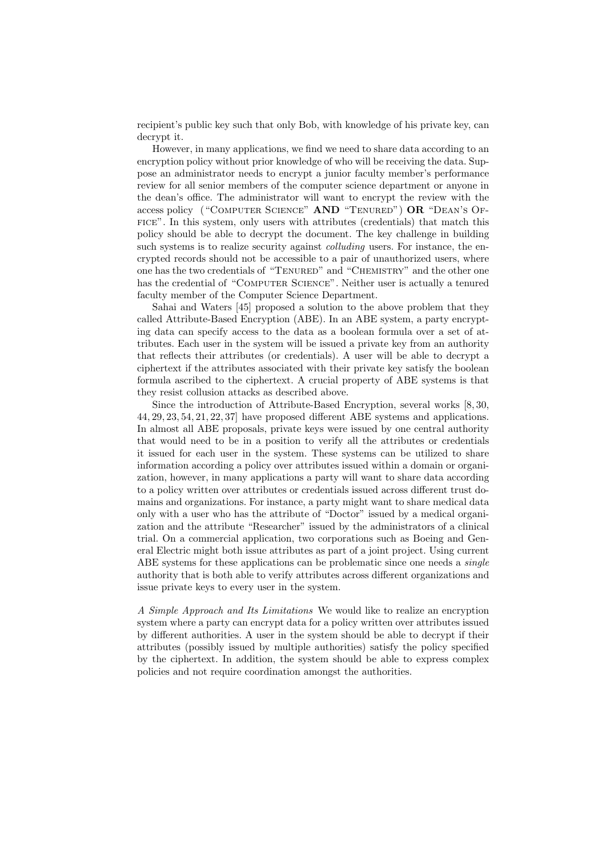recipient's public key such that only Bob, with knowledge of his private key, can decrypt it.

However, in many applications, we find we need to share data according to an encryption policy without prior knowledge of who will be receiving the data. Suppose an administrator needs to encrypt a junior faculty member's performance review for all senior members of the computer science department or anyone in the dean's office. The administrator will want to encrypt the review with the access policy ("Computer Science" **AND** "Tenured") **OR** "Dean's Office". In this system, only users with attributes (credentials) that match this policy should be able to decrypt the document. The key challenge in building such systems is to realize security against *colluding* users. For instance, the encrypted records should not be accessible to a pair of unauthorized users, where one has the two credentials of "TENURED" and "CHEMISTRY" and the other one has the credential of "COMPUTER SCIENCE". Neither user is actually a tenured faculty member of the Computer Science Department.

Sahai and Waters [45] proposed a solution to the above problem that they called Attribute-Based Encryption (ABE). In an ABE system, a party encrypting data can specify access to the data as a boolean formula over a set of attributes. Each user in the system will be issued a private key from an authority that reflects their attributes (or credentials). A user will be able to decrypt a ciphertext if the attributes associated with their private key satisfy the boolean formula ascribed to the ciphertext. A crucial property of ABE systems is that they resist collusion attacks as described above.

Since the introduction of Attribute-Based Encryption, several works [8, 30, 44, 29, 23, 54, 21, 22, 37] have proposed different ABE systems and applications. In almost all ABE proposals, private keys were issued by one central authority that would need to be in a position to verify all the attributes or credentials it issued for each user in the system. These systems can be utilized to share information according a policy over attributes issued within a domain or organization, however, in many applications a party will want to share data according to a policy written over attributes or credentials issued across different trust domains and organizations. For instance, a party might want to share medical data only with a user who has the attribute of "Doctor" issued by a medical organization and the attribute "Researcher" issued by the administrators of a clinical trial. On a commercial application, two corporations such as Boeing and General Electric might both issue attributes as part of a joint project. Using current ABE systems for these applications can be problematic since one needs a *single* authority that is both able to verify attributes across different organizations and issue private keys to every user in the system.

*A Simple Approach and Its Limitations* We would like to realize an encryption system where a party can encrypt data for a policy written over attributes issued by different authorities. A user in the system should be able to decrypt if their attributes (possibly issued by multiple authorities) satisfy the policy specified by the ciphertext. In addition, the system should be able to express complex policies and not require coordination amongst the authorities.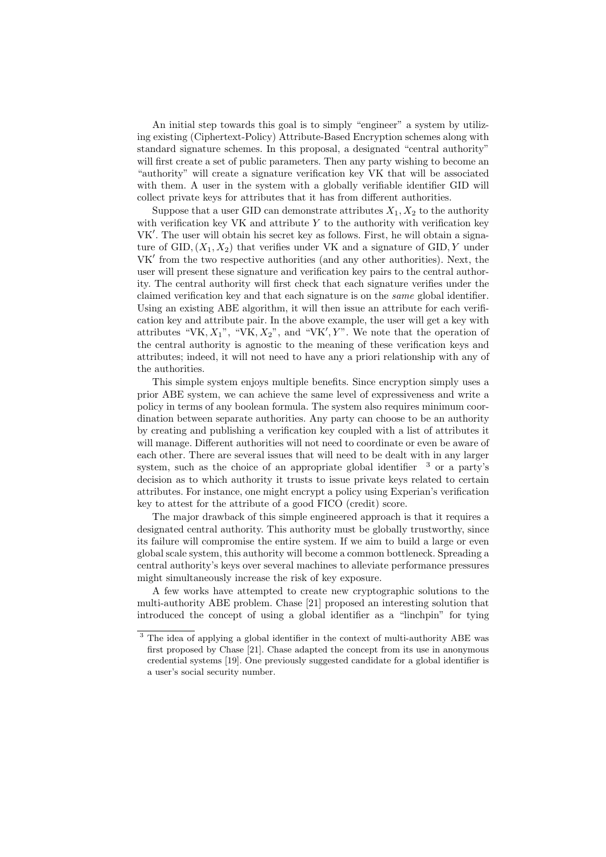An initial step towards this goal is to simply "engineer" a system by utilizing existing (Ciphertext-Policy) Attribute-Based Encryption schemes along with standard signature schemes. In this proposal, a designated "central authority" will first create a set of public parameters. Then any party wishing to become an "authority" will create a signature verification key VK that will be associated with them. A user in the system with a globally verifiable identifier GID will collect private keys for attributes that it has from different authorities.

Suppose that a user GID can demonstrate attributes  $X_1, X_2$  to the authority with verification key VK and attribute *Y* to the authority with verification key VK*′* . The user will obtain his secret key as follows. First, he will obtain a signature of  $GID, (X_1, X_2)$  that verifies under VK and a signature of  $GID, Y$  under VK*′* from the two respective authorities (and any other authorities). Next, the user will present these signature and verification key pairs to the central authority. The central authority will first check that each signature verifies under the claimed verification key and that each signature is on the *same* global identifier. Using an existing ABE algorithm, it will then issue an attribute for each verification key and attribute pair. In the above example, the user will get a key with attributes "VK,  $X_1$ ", "VK,  $X_2$ ", and "VK', Y". We note that the operation of the central authority is agnostic to the meaning of these verification keys and attributes; indeed, it will not need to have any a priori relationship with any of the authorities.

This simple system enjoys multiple benefits. Since encryption simply uses a prior ABE system, we can achieve the same level of expressiveness and write a policy in terms of any boolean formula. The system also requires minimum coordination between separate authorities. Any party can choose to be an authority by creating and publishing a verification key coupled with a list of attributes it will manage. Different authorities will not need to coordinate or even be aware of each other. There are several issues that will need to be dealt with in any larger system, such as the choice of an appropriate global identifier  $3$  or a party's decision as to which authority it trusts to issue private keys related to certain attributes. For instance, one might encrypt a policy using Experian's verification key to attest for the attribute of a good FICO (credit) score.

The major drawback of this simple engineered approach is that it requires a designated central authority. This authority must be globally trustworthy, since its failure will compromise the entire system. If we aim to build a large or even global scale system, this authority will become a common bottleneck. Spreading a central authority's keys over several machines to alleviate performance pressures might simultaneously increase the risk of key exposure.

A few works have attempted to create new cryptographic solutions to the multi-authority ABE problem. Chase [21] proposed an interesting solution that introduced the concept of using a global identifier as a "linchpin" for tying

<sup>&</sup>lt;sup>3</sup> The idea of applying a global identifier in the context of multi-authority ABE was first proposed by Chase [21]. Chase adapted the concept from its use in anonymous credential systems [19]. One previously suggested candidate for a global identifier is a user's social security number.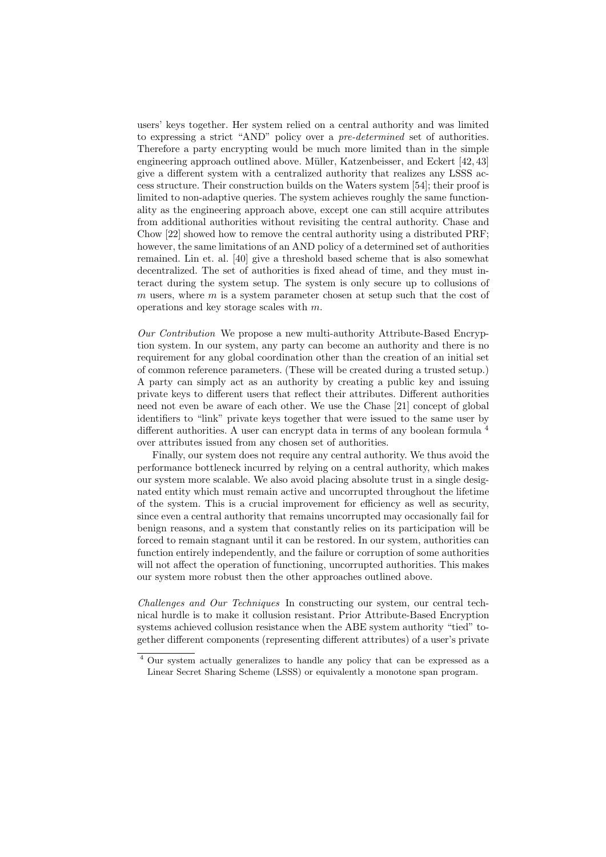users' keys together. Her system relied on a central authority and was limited to expressing a strict "AND" policy over a *pre-determined* set of authorities. Therefore a party encrypting would be much more limited than in the simple engineering approach outlined above. Müller, Katzenbeisser, and Eckert [42, 43] give a different system with a centralized authority that realizes any LSSS access structure. Their construction builds on the Waters system [54]; their proof is limited to non-adaptive queries. The system achieves roughly the same functionality as the engineering approach above, except one can still acquire attributes from additional authorities without revisiting the central authority. Chase and Chow [22] showed how to remove the central authority using a distributed PRF; however, the same limitations of an AND policy of a determined set of authorities remained. Lin et. al. [40] give a threshold based scheme that is also somewhat decentralized. The set of authorities is fixed ahead of time, and they must interact during the system setup. The system is only secure up to collusions of *m* users, where *m* is a system parameter chosen at setup such that the cost of operations and key storage scales with *m*.

*Our Contribution* We propose a new multi-authority Attribute-Based Encryption system. In our system, any party can become an authority and there is no requirement for any global coordination other than the creation of an initial set of common reference parameters. (These will be created during a trusted setup.) A party can simply act as an authority by creating a public key and issuing private keys to different users that reflect their attributes. Different authorities need not even be aware of each other. We use the Chase [21] concept of global identifiers to "link" private keys together that were issued to the same user by different authorities. A user can encrypt data in terms of any boolean formula <sup>4</sup> over attributes issued from any chosen set of authorities.

Finally, our system does not require any central authority. We thus avoid the performance bottleneck incurred by relying on a central authority, which makes our system more scalable. We also avoid placing absolute trust in a single designated entity which must remain active and uncorrupted throughout the lifetime of the system. This is a crucial improvement for efficiency as well as security, since even a central authority that remains uncorrupted may occasionally fail for benign reasons, and a system that constantly relies on its participation will be forced to remain stagnant until it can be restored. In our system, authorities can function entirely independently, and the failure or corruption of some authorities will not affect the operation of functioning, uncorrupted authorities. This makes our system more robust then the other approaches outlined above.

*Challenges and Our Techniques* In constructing our system, our central technical hurdle is to make it collusion resistant. Prior Attribute-Based Encryption systems achieved collusion resistance when the ABE system authority "tied" together different components (representing different attributes) of a user's private

<sup>4</sup> Our system actually generalizes to handle any policy that can be expressed as a Linear Secret Sharing Scheme (LSSS) or equivalently a monotone span program.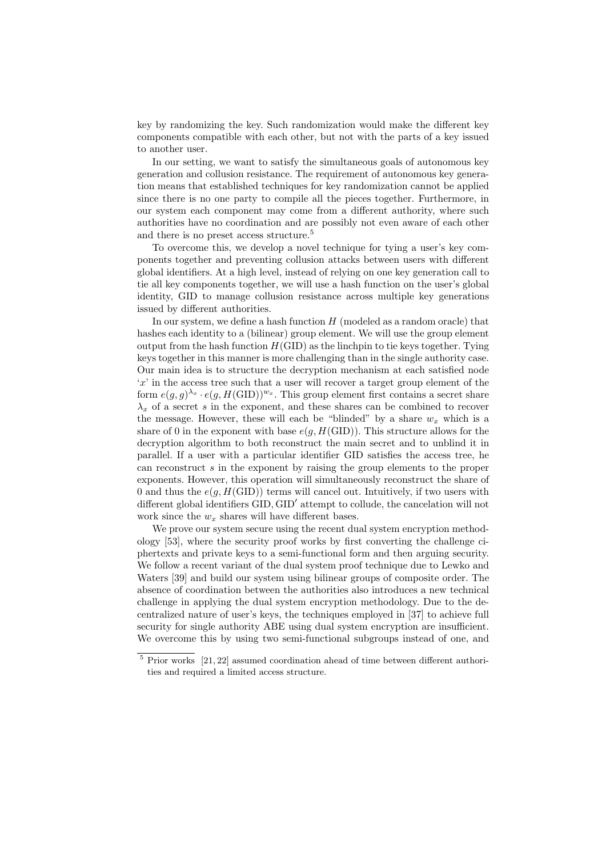key by randomizing the key. Such randomization would make the different key components compatible with each other, but not with the parts of a key issued to another user.

In our setting, we want to satisfy the simultaneous goals of autonomous key generation and collusion resistance. The requirement of autonomous key generation means that established techniques for key randomization cannot be applied since there is no one party to compile all the pieces together. Furthermore, in our system each component may come from a different authority, where such authorities have no coordination and are possibly not even aware of each other and there is no preset access structure.<sup>5</sup>

To overcome this, we develop a novel technique for tying a user's key components together and preventing collusion attacks between users with different global identifiers. At a high level, instead of relying on one key generation call to tie all key components together, we will use a hash function on the user's global identity, GID to manage collusion resistance across multiple key generations issued by different authorities.

In our system, we define a hash function *H* (modeled as a random oracle) that hashes each identity to a (bilinear) group element. We will use the group element output from the hash function  $H(GID)$  as the linchpin to tie keys together. Tying keys together in this manner is more challenging than in the single authority case. Our main idea is to structure the decryption mechanism at each satisfied node '*x*' in the access tree such that a user will recover a target group element of the form  $e(g, g)^{\lambda_x} \cdot e(g, H(\text{GID}))^{w_x}$ . This group element first contains a secret share  $\lambda_x$  of a secret *s* in the exponent, and these shares can be combined to recover the message. However, these will each be "blinded" by a share  $w_x$  which is a share of 0 in the exponent with base  $e(q, H(\text{GID}))$ . This structure allows for the decryption algorithm to both reconstruct the main secret and to unblind it in parallel. If a user with a particular identifier GID satisfies the access tree, he can reconstruct *s* in the exponent by raising the group elements to the proper exponents. However, this operation will simultaneously reconstruct the share of 0 and thus the  $e(g, H(\text{GID}))$  terms will cancel out. Intuitively, if two users with different global identifiers GID*,* GID*′* attempt to collude, the cancelation will not work since the  $w_x$  shares will have different bases.

We prove our system secure using the recent dual system encryption methodology [53], where the security proof works by first converting the challenge ciphertexts and private keys to a semi-functional form and then arguing security. We follow a recent variant of the dual system proof technique due to Lewko and Waters [39] and build our system using bilinear groups of composite order. The absence of coordination between the authorities also introduces a new technical challenge in applying the dual system encryption methodology. Due to the decentralized nature of user's keys, the techniques employed in [37] to achieve full security for single authority ABE using dual system encryption are insufficient. We overcome this by using two semi-functional subgroups instead of one, and

<sup>5</sup> Prior works [21, 22] assumed coordination ahead of time between different authorities and required a limited access structure.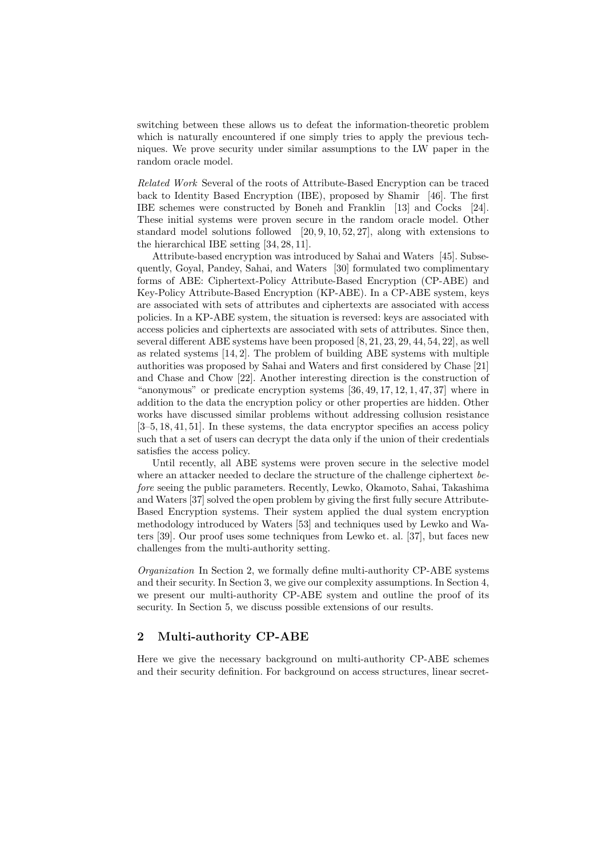switching between these allows us to defeat the information-theoretic problem which is naturally encountered if one simply tries to apply the previous techniques. We prove security under similar assumptions to the LW paper in the random oracle model.

*Related Work* Several of the roots of Attribute-Based Encryption can be traced back to Identity Based Encryption (IBE), proposed by Shamir [46]. The first IBE schemes were constructed by Boneh and Franklin [13] and Cocks [24]. These initial systems were proven secure in the random oracle model. Other standard model solutions followed [20, 9, 10, 52, 27], along with extensions to the hierarchical IBE setting [34, 28, 11].

Attribute-based encryption was introduced by Sahai and Waters [45]. Subsequently, Goyal, Pandey, Sahai, and Waters [30] formulated two complimentary forms of ABE: Ciphertext-Policy Attribute-Based Encryption (CP-ABE) and Key-Policy Attribute-Based Encryption (KP-ABE). In a CP-ABE system, keys are associated with sets of attributes and ciphertexts are associated with access policies. In a KP-ABE system, the situation is reversed: keys are associated with access policies and ciphertexts are associated with sets of attributes. Since then, several different ABE systems have been proposed [8, 21, 23, 29, 44, 54, 22], as well as related systems [14, 2]. The problem of building ABE systems with multiple authorities was proposed by Sahai and Waters and first considered by Chase [21] and Chase and Chow [22]. Another interesting direction is the construction of "anonymous" or predicate encryption systems  $[36, 49, 17, 12, 1, 47, 37]$  where in addition to the data the encryption policy or other properties are hidden. Other works have discussed similar problems without addressing collusion resistance [3–5, 18, 41, 51]. In these systems, the data encryptor specifies an access policy such that a set of users can decrypt the data only if the union of their credentials satisfies the access policy.

Until recently, all ABE systems were proven secure in the selective model where an attacker needed to declare the structure of the challenge ciphertext *before* seeing the public parameters. Recently, Lewko, Okamoto, Sahai, Takashima and Waters [37] solved the open problem by giving the first fully secure Attribute-Based Encryption systems. Their system applied the dual system encryption methodology introduced by Waters [53] and techniques used by Lewko and Waters [39]. Our proof uses some techniques from Lewko et. al. [37], but faces new challenges from the multi-authority setting.

*Organization* In Section 2, we formally define multi-authority CP-ABE systems and their security. In Section 3, we give our complexity assumptions. In Section 4, we present our multi-authority CP-ABE system and outline the proof of its security. In Section 5, we discuss possible extensions of our results.

## **2 Multi-authority CP-ABE**

Here we give the necessary background on multi-authority CP-ABE schemes and their security definition. For background on access structures, linear secret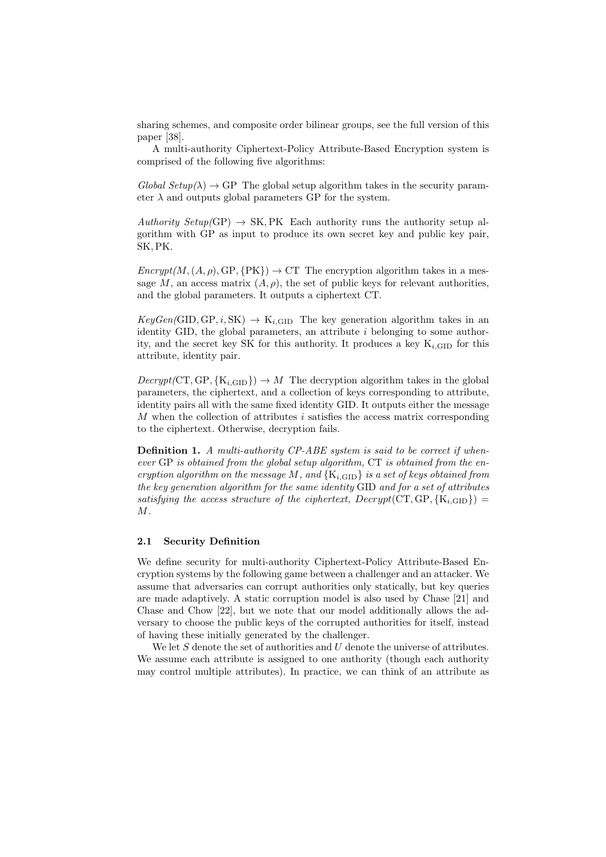sharing schemes, and composite order bilinear groups, see the full version of this paper [38].

A multi-authority Ciphertext-Policy Attribute-Based Encryption system is comprised of the following five algorithms:

 $Global Setup(\lambda) \rightarrow GP$  The global setup algorithm takes in the security parameter  $\lambda$  and outputs global parameters GP for the system.

 $Authority$   $Setup(GP) \rightarrow SK, PK$  Each authority runs the authority setup algorithm with GP as input to produce its own secret key and public key pair, SK*,*PK.

 $\text{Encrypt}(M, (A, \rho), \text{GP}, \{\text{PK}\}) \rightarrow \text{CT}$  The encryption algorithm takes in a message *M*, an access matrix  $(A, \rho)$ , the set of public keys for relevant authorities, and the global parameters. It outputs a ciphertext CT.

 $KeyGen(GID, GP, i, SK) \rightarrow K_{i,GID}$  The key generation algorithm takes in an identity GID, the global parameters, an attribute *i* belonging to some authority, and the secret key SK for this authority. It produces a key  $K_{i,\text{GID}}$  for this attribute, identity pair.

 $Decrypt(CT, GP, {K_{i,GID}}) \rightarrow M$  The decryption algorithm takes in the global parameters, the ciphertext, and a collection of keys corresponding to attribute, identity pairs all with the same fixed identity GID. It outputs either the message *M* when the collection of attributes *i* satisfies the access matrix corresponding to the ciphertext. Otherwise, decryption fails.

**Definition 1.** *A multi-authority CP-ABE system is said to be correct if whenever* GP *is obtained from the global setup algorithm,* CT *is obtained from the encryption algorithm on the message M, and {*K*i,*GID*} is a set of keys obtained from the key generation algorithm for the same identity* GID *and for a set of attributes satisfying the access structure of the ciphertext,*  $Decrypt$ (CT, GP,  $\{K_i\}_{GID}$ ) = *M.*

#### **2.1 Security Definition**

We define security for multi-authority Ciphertext-Policy Attribute-Based Encryption systems by the following game between a challenger and an attacker. We assume that adversaries can corrupt authorities only statically, but key queries are made adaptively. A static corruption model is also used by Chase [21] and Chase and Chow [22], but we note that our model additionally allows the adversary to choose the public keys of the corrupted authorities for itself, instead of having these initially generated by the challenger.

We let *S* denote the set of authorities and *U* denote the universe of attributes. We assume each attribute is assigned to one authority (though each authority may control multiple attributes). In practice, we can think of an attribute as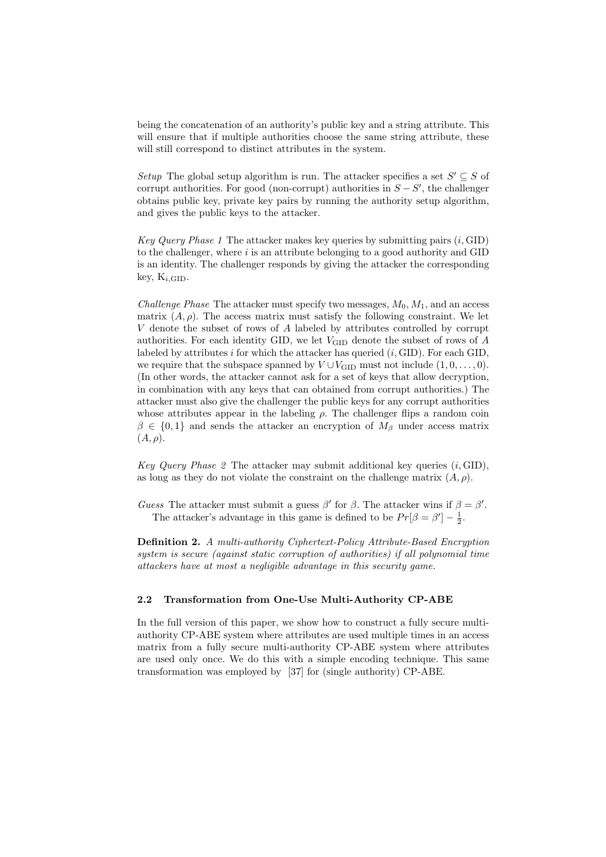being the concatenation of an authority's public key and a string attribute. This will ensure that if multiple authorities choose the same string attribute, these will still correspond to distinct attributes in the system.

*Setup* The global setup algorithm is run. The attacker specifies a set  $S' \subseteq S$  of corrupt authorities. For good (non-corrupt) authorities in *S − S ′* , the challenger obtains public key, private key pairs by running the authority setup algorithm, and gives the public keys to the attacker.

*Key Query Phase 1* The attacker makes key queries by submitting pairs (*i,* GID) to the challenger, where *i* is an attribute belonging to a good authority and GID is an identity. The challenger responds by giving the attacker the corresponding key, K*i,*GID.

*Challenge Phase* The attacker must specify two messages,  $M_0, M_1$ , and an access matrix  $(A, \rho)$ . The access matrix must satisfy the following constraint. We let *V* denote the subset of rows of *A* labeled by attributes controlled by corrupt authorities. For each identity GID, we let  $V_{\text{GID}}$  denote the subset of rows of  $A$ labeled by attributes *i* for which the attacker has queried (*i,* GID). For each GID, we require that the subspace spanned by  $V \cup V_{\text{GID}}$  must not include  $(1, 0, \ldots, 0)$ . (In other words, the attacker cannot ask for a set of keys that allow decryption, in combination with any keys that can obtained from corrupt authorities.) The attacker must also give the challenger the public keys for any corrupt authorities whose attributes appear in the labeling  $\rho$ . The challenger flips a random coin  $\beta \in \{0,1\}$  and sends the attacker an encryption of  $M_\beta$  under access matrix (*A, ρ*).

*Key Query Phase 2* The attacker may submit additional key queries (*i,* GID), as long as they do not violate the constraint on the challenge matrix  $(A, \rho)$ .

*Guess* The attacker must submit a guess  $\beta'$  for  $\beta$ . The attacker wins if  $\beta = \beta'$ . The attacker's advantage in this game is defined to be  $Pr[\beta = \beta'] - \frac{1}{2}$ .

**Definition 2.** *A multi-authority Ciphertext-Policy Attribute-Based Encryption system is secure (against static corruption of authorities) if all polynomial time attackers have at most a negligible advantage in this security game.*

#### **2.2 Transformation from One-Use Multi-Authority CP-ABE**

In the full version of this paper, we show how to construct a fully secure multiauthority CP-ABE system where attributes are used multiple times in an access matrix from a fully secure multi-authority CP-ABE system where attributes are used only once. We do this with a simple encoding technique. This same transformation was employed by [37] for (single authority) CP-ABE.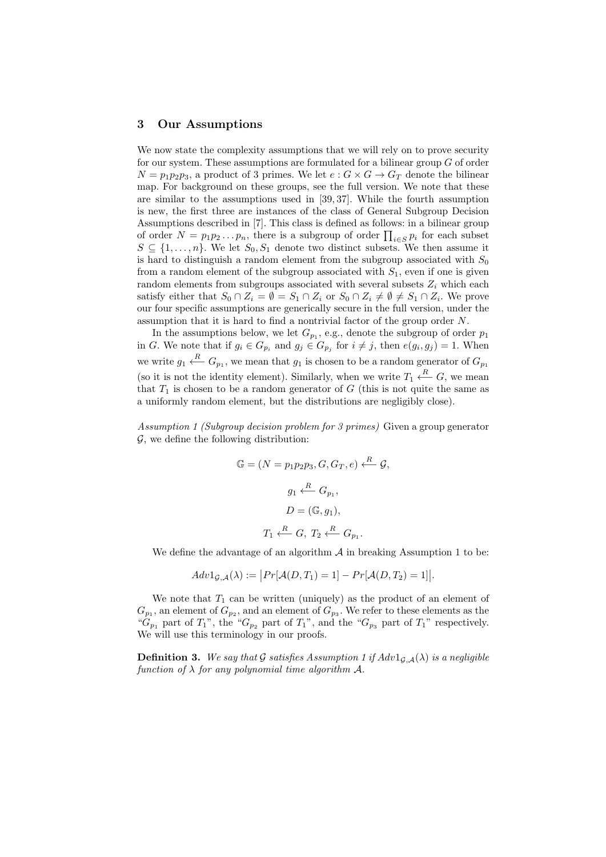#### **3 Our Assumptions**

We now state the complexity assumptions that we will rely on to prove security for our system. These assumptions are formulated for a bilinear group *G* of order  $N = p_1p_2p_3$ , a product of 3 primes. We let  $e: G \times G \rightarrow G_T$  denote the bilinear map. For background on these groups, see the full version. We note that these are similar to the assumptions used in [39, 37]. While the fourth assumption is new, the first three are instances of the class of General Subgroup Decision Assumptions described in [7]. This class is defined as follows: in a bilinear group of order  $N = p_1 p_2 \tldots p_n$ , there is a subgroup of order  $\prod_{i \in S} p_i$  for each subset  $S \subseteq \{1, \ldots, n\}$ . We let  $S_0, S_1$  denote two distinct subsets. We then assume it is hard to distinguish a random element from the subgroup associated with  $S_0$ from a random element of the subgroup associated with  $S_1$ , even if one is given random elements from subgroups associated with several subsets  $Z_i$  which each satisfy either that  $S_0 \cap Z_i = \emptyset = S_1 \cap Z_i$  or  $S_0 \cap Z_i \neq \emptyset \neq S_1 \cap Z_i$ . We prove our four specific assumptions are generically secure in the full version, under the assumption that it is hard to find a nontrivial factor of the group order *N*.

In the assumptions below, we let  $G_{p_1}$ , e.g., denote the subgroup of order  $p_1$ in G. We note that if  $g_i \in G_{p_i}$  and  $g_j \in G_{p_j}$  for  $i \neq j$ , then  $e(g_i, g_j) = 1$ . When we write  $g_1 \stackrel{R}{\longleftarrow} G_{p_1}$ , we mean that  $g_1$  is chosen to be a random generator of  $G_{p_1}$ (so it is not the identity element). Similarly, when we write  $T_1 \stackrel{R}{\longleftarrow} G$ , we mean that  $T_1$  is chosen to be a random generator of  $G$  (this is not quite the same as a uniformly random element, but the distributions are negligibly close).

*Assumption 1 (Subgroup decision problem for 3 primes)* Given a group generator *G*, we define the following distribution:

$$
\mathbb{G} = (N = p_1 p_2 p_3, G, G_T, e) \xleftarrow{R} \mathcal{G},
$$

$$
g_1 \xleftarrow{R} G_{p_1},
$$

$$
D = (\mathbb{G}, g_1),
$$

$$
T_1 \xleftarrow{R} G, T_2 \xleftarrow{R} G_{p_1}.
$$

We define the advantage of an algorithm  $A$  in breaking Assumption 1 to be:

$$
Adv1_{\mathcal{G},\mathcal{A}}(\lambda) := \big| Pr[\mathcal{A}(D,T_1) = 1] - Pr[\mathcal{A}(D,T_2) = 1] \big|.
$$

We note that  $T_1$  can be written (uniquely) as the product of an element of  $G_{p_1}$ , an element of  $G_{p_2}$ , and an element of  $G_{p_3}$ . We refer to these elements as the " $G_{p_1}$  part of  $T_1$ ", the " $G_{p_2}$  part of  $T_1$ ", and the " $G_{p_3}$  part of  $T_1$ " respectively. We will use this terminology in our proofs.

**Definition 3.** We say that G satisfies Assumption 1 if  $Adv1_{\mathcal{G},\mathcal{A}}(\lambda)$  is a negligible *function of λ for any polynomial time algorithm A.*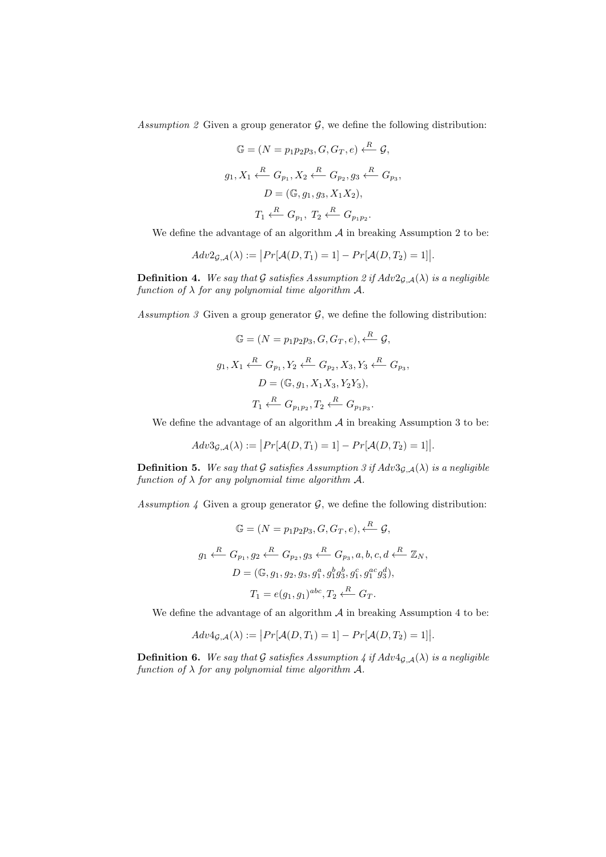*Assumption 2* Given a group generator  $\mathcal{G}$ , we define the following distribution:

$$
\mathbb{G} = (N = p_1 p_2 p_3, G, G_T, e) \xleftarrow{R} \mathcal{G},
$$
  
\n
$$
g_1, X_1 \xleftarrow{R} G_{p_1}, X_2 \xleftarrow{R} G_{p_2}, g_3 \xleftarrow{R} G_{p_3},
$$
  
\n
$$
D = (\mathbb{G}, g_1, g_3, X_1 X_2),
$$
  
\n
$$
T_1 \xleftarrow{R} G_{p_1}, T_2 \xleftarrow{R} G_{p_1 p_2}.
$$

We define the advantage of an algorithm  $A$  in breaking Assumption 2 to be:

$$
Adv2_{\mathcal{G}, \mathcal{A}}(\lambda) := \big| Pr[\mathcal{A}(D, T_1) = 1] - Pr[\mathcal{A}(D, T_2) = 1] \big|.
$$

**Definition 4.** We say that *G* satisfies Assumption 2 if  $Adv2_{G,\mathcal{A}}(\lambda)$  is a negligible *function of*  $\lambda$  *for any polynomial time algorithm*  $\mathcal{A}$ *.* 

*Assumption 3* Given a group generator  $\mathcal{G}$ , we define the following distribution:

$$
\mathbb{G} = (N = p_1 p_2 p_3, G, G_T, e), \frac{R}{\cdot} \mathcal{G},
$$
  
\n
$$
g_1, X_1 \xleftarrow{R} G_{p_1}, Y_2 \xleftarrow{R} G_{p_2}, X_3, Y_3 \xleftarrow{R} G_{p_3},
$$
  
\n
$$
D = (\mathbb{G}, g_1, X_1 X_3, Y_2 Y_3),
$$
  
\n
$$
T_1 \xleftarrow{R} G_{p_1 p_2}, T_2 \xleftarrow{R} G_{p_1 p_3}.
$$

We define the advantage of an algorithm  $\mathcal A$  in breaking Assumption 3 to be:

$$
Adv3_{\mathcal{G},\mathcal{A}}(\lambda) := \big| Pr[\mathcal{A}(D,T_1) = 1] - Pr[\mathcal{A}(D,T_2) = 1] \big|.
$$

**Definition 5.** We say that G satisfies Assumption 3 if  $Adv3_{\mathcal{G},\mathcal{A}}(\lambda)$  is a negligible *function of*  $\lambda$  *for any polynomial time algorithm*  $\mathcal{A}$ *.* 

*Assumption 4* Given a group generator  $G$ , we define the following distribution:

$$
\mathbb{G} = (N = p_1 p_2 p_3, G, G_T, e), \frac{R}{L} \mathcal{G},
$$
  
\n
$$
g_1 \xleftarrow{R} G_{p_1}, g_2 \xleftarrow{R} G_{p_2}, g_3 \xleftarrow{R} G_{p_3}, a, b, c, d \xleftarrow{R} \mathbb{Z}_N,
$$
  
\n
$$
D = (\mathbb{G}, g_1, g_2, g_3, g_1^a, g_1^b g_3^b, g_1^c, g_1^{ac} g_3^d),
$$
  
\n
$$
T_1 = e(g_1, g_1)^{abc}, T_2 \xleftarrow{R} G_T.
$$

We define the advantage of an algorithm  $A$  in breaking Assumption 4 to be:

$$
Adv4_{\mathcal{G}, \mathcal{A}}(\lambda) := \big| Pr[\mathcal{A}(D, T_1) = 1] - Pr[\mathcal{A}(D, T_2) = 1] \big|.
$$

**Definition 6.** We say that G satisfies Assumption 4 if  $Adv4_{\mathcal{G},\mathcal{A}}(\lambda)$  is a negligible *function of λ for any polynomial time algorithm A.*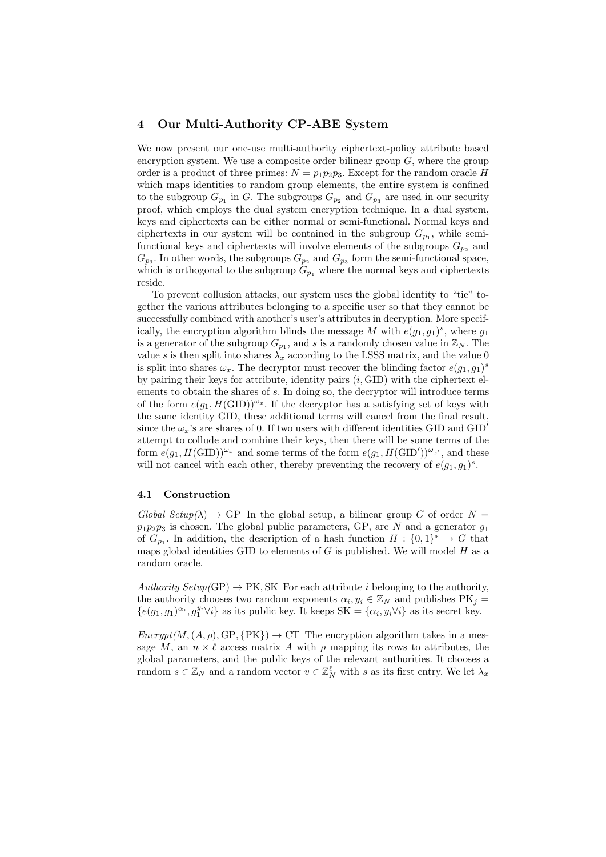#### **4 Our Multi-Authority CP-ABE System**

We now present our one-use multi-authority ciphertext-policy attribute based encryption system. We use a composite order bilinear group  $G$ , where the group order is a product of three primes:  $N = p_1 p_2 p_3$ . Except for the random oracle *H* which maps identities to random group elements, the entire system is confined to the subgroup  $G_{p_1}$  in  $G$ . The subgroups  $G_{p_2}$  and  $G_{p_3}$  are used in our security proof, which employs the dual system encryption technique. In a dual system, keys and ciphertexts can be either normal or semi-functional. Normal keys and ciphertexts in our system will be contained in the subgroup  $G_{p_1}$ , while semifunctional keys and ciphertexts will involve elements of the subgroups  $G_{p_2}$  and  $G_{p_3}$ . In other words, the subgroups  $G_{p_2}$  and  $G_{p_3}$  form the semi-functional space, which is orthogonal to the subgroup  $G_{p_1}$  where the normal keys and ciphertexts reside.

To prevent collusion attacks, our system uses the global identity to "tie" together the various attributes belonging to a specific user so that they cannot be successfully combined with another's user's attributes in decryption. More specifically, the encryption algorithm blinds the message *M* with  $e(g_1, g_1)^s$ , where  $g_1$ is a generator of the subgroup  $G_{p_1}$ , and *s* is a randomly chosen value in  $\mathbb{Z}_N$ . The value *s* is then split into shares  $\lambda_x$  according to the LSSS matrix, and the value 0 is split into shares  $\omega_x$ . The decryptor must recover the blinding factor  $e(g_1, g_1)^s$ by pairing their keys for attribute, identity pairs (*i,* GID) with the ciphertext elements to obtain the shares of *s*. In doing so, the decryptor will introduce terms of the form  $e(g_1, H(\text{GID}))^{\omega_x}$ . If the decryptor has a satisfying set of keys with the same identity GID, these additional terms will cancel from the final result, since the  $\omega_x$ 's are shares of 0. If two users with different identities GID and GID<sup>'</sup> attempt to collude and combine their keys, then there will be some terms of the form  $e(g_1, H(\text{GID}))^{\omega_x}$  and some terms of the form  $e(g_1, H(\text{GID}'))^{\omega_{x'}}$ , and these will not cancel with each other, thereby preventing the recovery of  $e(g_1, g_1)^s$ .

## **4.1 Construction**

*Global Setup(* $\lambda$ *)*  $\rightarrow$  GP In the global setup, a bilinear group *G* of order  $N =$  $p_1p_2p_3$  is chosen. The global public parameters, GP, are *N* and a generator  $g_1$ of  $G_{p_1}$ . In addition, the description of a hash function  $H: \{0,1\}^* \to G$  that maps global identities GID to elements of *G* is published. We will model *H* as a random oracle.

*Authority*  $Setup(GP) \rightarrow PK$ *, SK For each attribute <i>i* belonging to the authority, the authority chooses two random exponents  $\alpha_i, y_i \in \mathbb{Z}_N$  and publishes  $PK_j =$  $\{e(g_1,g_1)^{\alpha_i},g_1^{y_i}\forall i\}$  as its public key. It keeps  $SK = {\alpha_i, y_i\forall i}$  as its secret key.

 $\text{Encrypt}(M, (A, \rho), \text{GP}, \{ \text{PK} \}) \rightarrow \text{CT}$  The encryption algorithm takes in a message *M*, an  $n \times \ell$  access matrix *A* with  $\rho$  mapping its rows to attributes, the global parameters, and the public keys of the relevant authorities. It chooses a random  $s \in \mathbb{Z}_N$  and a random vector  $v \in \mathbb{Z}_N^{\ell}$  with *s* as its first entry. We let  $\lambda_x$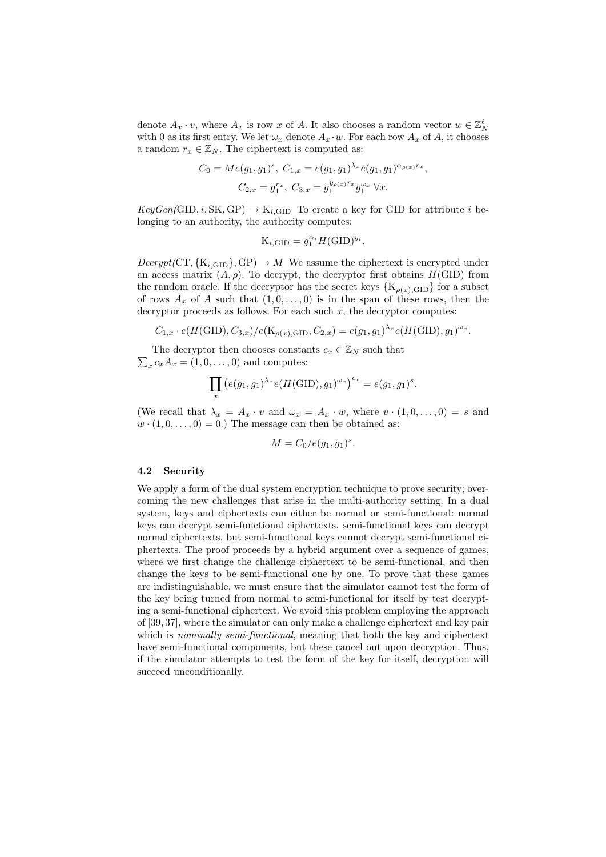denote  $A_x \cdot v$ , where  $A_x$  is row *x* of *A*. It also chooses a random vector  $w \in \mathbb{Z}_N^{\ell}$ with 0 as its first entry. We let  $\omega_x$  denote  $A_x \cdot w$ . For each row  $A_x$  of  $A$ , it chooses a random  $r_x \in \mathbb{Z}_N$ . The ciphertext is computed as:

$$
C_0 = Me(g_1, g_1)^s, C_{1,x} = e(g_1, g_1)^{\lambda_x} e(g_1, g_1)^{\alpha_{\rho(x)}r_x},
$$
  

$$
C_{2,x} = g_1^{r_x}, C_{3,x} = g_1^{y_{\rho(x)}r_x} g_1^{\omega_x} \ \forall x.
$$

 $KeyGen(GID, i, SK, GP) \rightarrow K_{i,GID}$  To create a key for GID for attribute *i* belonging to an authority, the authority computes:

$$
\mathbf{K}_{i,\text{GID}} = g_1^{\alpha_i} H(\text{GID})^{y_i}.
$$

 $Decrypt$ ( $CT$ ,  ${K_i \text{ GID}}$ ,  ${GP}$ )  $\rightarrow M$  We assume the ciphertext is encrypted under an access matrix  $(A, \rho)$ . To decrypt, the decryptor first obtains  $H(\text{GID})$  from the random oracle. If the decryptor has the secret keys  ${K_{\rho(x),\text{GID}}}$  for a subset of rows  $A_x$  of *A* such that  $(1,0,\ldots,0)$  is in the span of these rows, then the decryptor proceeds as follows. For each such *x*, the decryptor computes:

$$
C_{1,x} \cdot e(H(\mathrm{GID}), C_{3,x})/e(K_{\rho(x),\mathrm{GID}}, C_{2,x}) = e(g_1,g_1)^{\lambda_x} e(H(\mathrm{GID}), g_1)^{\omega_x}.
$$

 $\sum_{x} c_x A_x = (1, 0, \dots, 0)$  and computes: The decryptor then chooses constants  $c_x \in \mathbb{Z}_N$  such that

$$
\prod_{x} (e(g_1, g_1)^{\lambda_x} e(H(\text{GID}), g_1)^{\omega_x})^{c_x} = e(g_1, g_1)^s.
$$

(We recall that  $\lambda_x = A_x \cdot v$  and  $\omega_x = A_x \cdot w$ , where  $v \cdot (1,0,\ldots,0) = s$  and  $w \cdot (1,0,\ldots,0) = 0.$  The message can then be obtained as:

$$
M=C_0/e(g_1,g_1)^s.
$$

#### **4.2 Security**

We apply a form of the dual system encryption technique to prove security; overcoming the new challenges that arise in the multi-authority setting. In a dual system, keys and ciphertexts can either be normal or semi-functional: normal keys can decrypt semi-functional ciphertexts, semi-functional keys can decrypt normal ciphertexts, but semi-functional keys cannot decrypt semi-functional ciphertexts. The proof proceeds by a hybrid argument over a sequence of games, where we first change the challenge ciphertext to be semi-functional, and then change the keys to be semi-functional one by one. To prove that these games are indistinguishable, we must ensure that the simulator cannot test the form of the key being turned from normal to semi-functional for itself by test decrypting a semi-functional ciphertext. We avoid this problem employing the approach of [39, 37], where the simulator can only make a challenge ciphertext and key pair which is *nominally semi-functional*, meaning that both the key and ciphertext have semi-functional components, but these cancel out upon decryption. Thus, if the simulator attempts to test the form of the key for itself, decryption will succeed unconditionally.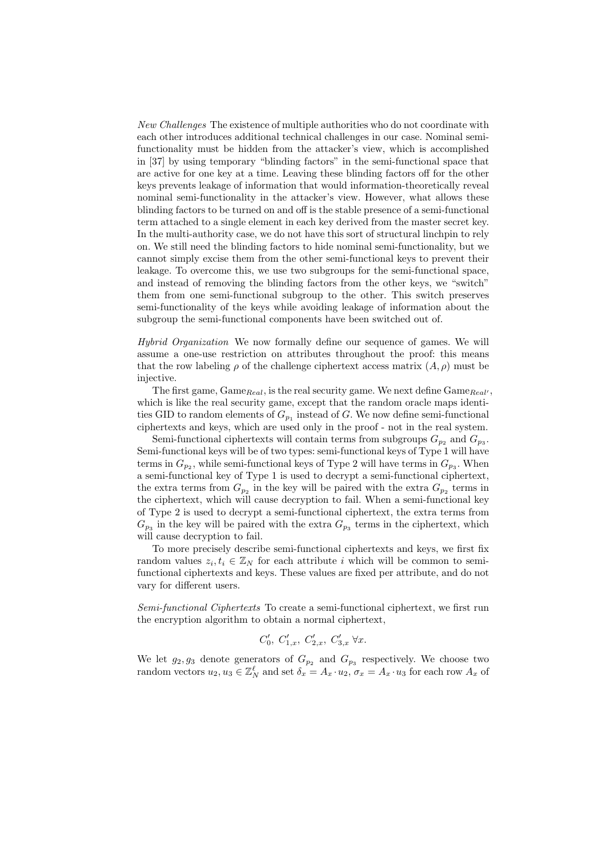*New Challenges* The existence of multiple authorities who do not coordinate with each other introduces additional technical challenges in our case. Nominal semifunctionality must be hidden from the attacker's view, which is accomplished in [37] by using temporary "blinding factors" in the semi-functional space that are active for one key at a time. Leaving these blinding factors off for the other keys prevents leakage of information that would information-theoretically reveal nominal semi-functionality in the attacker's view. However, what allows these blinding factors to be turned on and off is the stable presence of a semi-functional term attached to a single element in each key derived from the master secret key. In the multi-authority case, we do not have this sort of structural linchpin to rely on. We still need the blinding factors to hide nominal semi-functionality, but we cannot simply excise them from the other semi-functional keys to prevent their leakage. To overcome this, we use two subgroups for the semi-functional space, and instead of removing the blinding factors from the other keys, we "switch" them from one semi-functional subgroup to the other. This switch preserves semi-functionality of the keys while avoiding leakage of information about the subgroup the semi-functional components have been switched out of.

*Hybrid Organization* We now formally define our sequence of games. We will assume a one-use restriction on attributes throughout the proof: this means that the row labeling  $\rho$  of the challenge ciphertext access matrix  $(A, \rho)$  must be injective.

The first game, Game*Real*, is the real security game. We next define Game*Real′* , which is like the real security game, except that the random oracle maps identities GID to random elements of  $G_{p_1}$  instead of  $G$ . We now define semi-functional ciphertexts and keys, which are used only in the proof - not in the real system.

Semi-functional ciphertexts will contain terms from subgroups  $G_{p_2}$  and  $G_{p_3}$ . Semi-functional keys will be of two types: semi-functional keys of Type 1 will have terms in  $G_{p_2}$ , while semi-functional keys of Type 2 will have terms in  $G_{p_3}$ . When a semi-functional key of Type 1 is used to decrypt a semi-functional ciphertext, the extra terms from  $G_{p_2}$  in the key will be paired with the extra  $G_{p_2}$  terms in the ciphertext, which will cause decryption to fail. When a semi-functional key of Type 2 is used to decrypt a semi-functional ciphertext, the extra terms from  $G_{p_3}$  in the key will be paired with the extra  $G_{p_3}$  terms in the ciphertext, which will cause decryption to fail.

To more precisely describe semi-functional ciphertexts and keys, we first fix random values  $z_i, t_i \in \mathbb{Z}_N$  for each attribute *i* which will be common to semifunctional ciphertexts and keys. These values are fixed per attribute, and do not vary for different users.

*Semi-functional Ciphertexts* To create a semi-functional ciphertext, we first run the encryption algorithm to obtain a normal ciphertext,

$$
C'_0
$$
,  $C'_{1,x}$ ,  $C'_{2,x}$ ,  $C'_{3,x}$   $\forall x$ .

We let  $g_2, g_3$  denote generators of  $G_{p_2}$  and  $G_{p_3}$  respectively. We choose two random vectors  $u_2, u_3 \in \mathbb{Z}_N^{\ell}$  and set  $\delta_x = A_x \cdot u_2, \sigma_x = A_x \cdot u_3$  for each row  $A_x$  of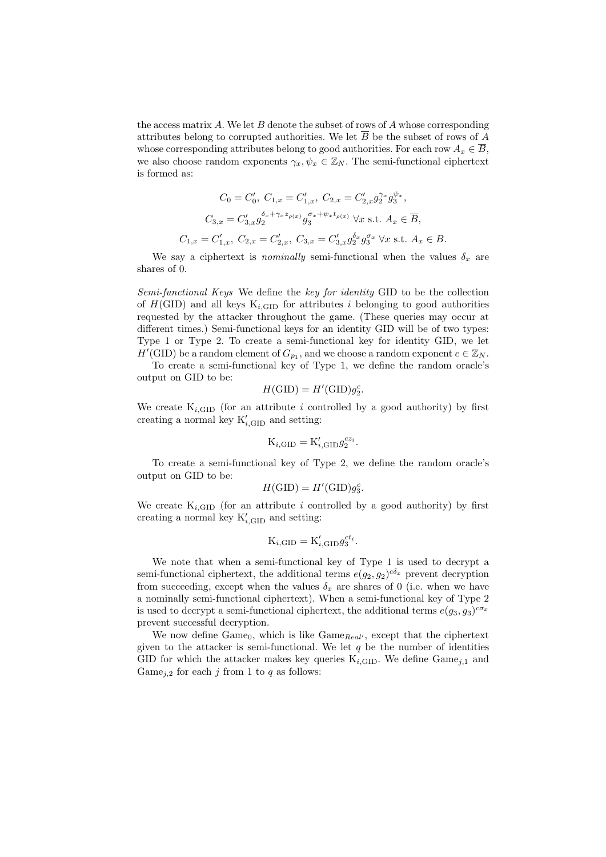the access matrix *A*. We let *B* denote the subset of rows of *A* whose corresponding attributes belong to corrupted authorities. We let *B* be the subset of rows of *A* whose corresponding attributes belong to good authorities. For each row  $A_x \in \overline{B}$ , we also choose random exponents  $\gamma_x, \psi_x \in \mathbb{Z}_N$ . The semi-functional ciphertext is formed as:

$$
C_0 = C'_0, C_{1,x} = C'_{1,x}, C_{2,x} = C'_{2,x} g_2^{\gamma_x} g_3^{\psi_x},
$$
  
\n
$$
C_{3,x} = C'_{3,x} g_2^{\delta_x + \gamma_x z_{\rho(x)}} g_3^{\sigma_x + \psi_x t_{\rho(x)}} \forall x \text{ s.t. } A_x \in \overline{B},
$$
  
\n
$$
C_{1,x} = C'_{1,x}, C_{2,x} = C'_{2,x}, C_{3,x} = C'_{3,x} g_2^{\delta_x} g_3^{\sigma_x} \forall x \text{ s.t. } A_x \in B.
$$

We say a ciphertext is *nominally* semi-functional when the values  $\delta_x$  are shares of 0.

*Semi-functional Keys* We define the *key for identity* GID to be the collection of  $H(\text{GID})$  and all keys  $K_{i,\text{GID}}$  for attributes *i* belonging to good authorities requested by the attacker throughout the game. (These queries may occur at different times.) Semi-functional keys for an identity GID will be of two types: Type 1 or Type 2. To create a semi-functional key for identity GID, we let *H*<sup> $\prime$ </sup>(GID) be a random element of  $G_{p_1}$ , and we choose a random exponent  $c \in \mathbb{Z}_N$ .

To create a semi-functional key of Type 1, we define the random oracle's output on GID to be:

$$
H(\mathrm{GID}) = H'(\mathrm{GID})g_2^c.
$$

We create  $K_{i,GID}$  (for an attribute *i* controlled by a good authority) by first creating a normal key K*′ i,*GID and setting:

$$
K_{i,\text{GID}} = K'_{i,\text{GID}} g_2^{cz_i}.
$$

To create a semi-functional key of Type 2, we define the random oracle's output on GID to be:

$$
H(\mathrm{GID}) = H'(\mathrm{GID})g_3^c.
$$

We create  $K_{i,\text{GID}}$  (for an attribute *i* controlled by a good authority) by first creating a normal key K*′ i,*GID and setting:

$$
K_{i,\text{GID}} = K'_{i,\text{GID}} g_3^{ct_i}.
$$

We note that when a semi-functional key of Type 1 is used to decrypt a semi-functional ciphertext, the additional terms  $e(g_2, g_2)^{c \delta_x}$  prevent decryption from succeeding, except when the values  $\delta_x$  are shares of 0 (i.e. when we have a nominally semi-functional ciphertext). When a semi-functional key of Type 2 is used to decrypt a semi-functional ciphertext, the additional terms  $e(g_3, g_3)^{c\sigma_x}$ prevent successful decryption.

We now define  $Game_0$ , which is like  $Game_{Real'}$ , except that the ciphertext given to the attacker is semi-functional. We let  $q$  be the number of identities GID for which the attacker makes key queries  $K_{i,\text{GID}}$ . We define  $\text{Game}_{i,1}$  and Game<sub>*i*,2</sub> for each *j* from 1 to *q* as follows: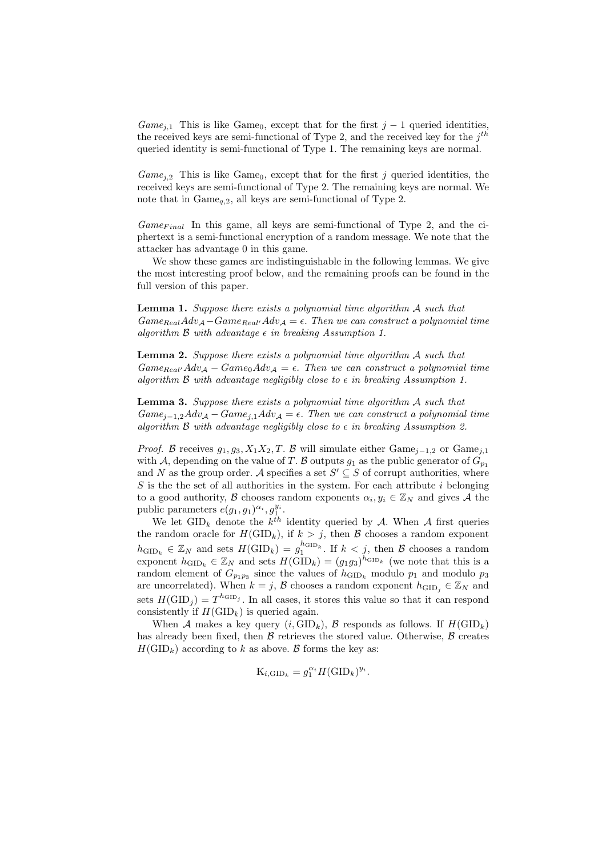*Game*<sub>*j*,1</sub> This is like Game<sub>0</sub>, except that for the first  $j - 1$  queried identities, the received keys are semi-functional of Type 2, and the received key for the *j th* queried identity is semi-functional of Type 1. The remaining keys are normal.

*Game<sub>i2</sub>* This is like Game<sub>0</sub>, except that for the first *j* queried identities, the received keys are semi-functional of Type 2. The remaining keys are normal. We note that in Game*q,*2, all keys are semi-functional of Type 2.

*GameF inal* In this game, all keys are semi-functional of Type 2, and the ciphertext is a semi-functional encryption of a random message. We note that the attacker has advantage 0 in this game.

We show these games are indistinguishable in the following lemmas. We give the most interesting proof below, and the remaining proofs can be found in the full version of this paper.

**Lemma 1.** *Suppose there exists a polynomial time algorithm A such that*  $Game_{Real}Adv_{A} - Game_{Real'}Adv_{A} = \epsilon$ . Then we can construct a polynomial time *algorithm*  $\beta$  *with advantage*  $\epsilon$  *in breaking Assumption 1.* 

**Lemma 2.** *Suppose there exists a polynomial time algorithm A such that*  $Game_{Real'}Adv_{\mathcal{A}} - Game_{0}Adv_{\mathcal{A}} = \epsilon$ . Then we can construct a polynomial time *algorithm B with advantage negligibly close to*  $\epsilon$  *in breaking Assumption 1.* 

**Lemma 3.** *Suppose there exists a polynomial time algorithm A such that*  $Game_{i-1,2}Adv_{\mathcal{A}} - Game_{i,1}Adv_{\mathcal{A}} = \epsilon$ . Then we can construct a polynomial time *algorithm*  $\beta$  *with advantage negligibly close to*  $\epsilon$  *in breaking Assumption 2.* 

*Proof. B* receives  $g_1, g_3, X_1X_2, T$ . *B* will simulate either Game<sub>*j*</sub><sup>−1</sup>,2 or Game<sub>*j*</sub><sup>1</sup> with *A*, depending on the value of *T*. *B* outputs  $g_1$  as the public generator of  $G_{p_1}$ and *N* as the group order. *A* specifies a set  $S' \subseteq S$  of corrupt authorities, where *S* is the the set of all authorities in the system. For each attribute *i* belonging to a good authority, *B* chooses random exponents  $\alpha_i, y_i \in \mathbb{Z}_N$  and gives *A* the public parameters  $e(g_1, g_1)^{\alpha_i}, g_1^{y_i}$ .

We let  $\text{GID}_k$  denote the  $k^{th}$  identity queried by *A*. When *A* first queries the random oracle for  $H(\text{GID}_k)$ , if  $k > j$ , then *B* chooses a random exponent  $h_{\text{GID}_k} \in \mathbb{Z}_N$  and sets  $H(\text{GID}_k) = g_1^{h_{\text{GID}_k}}$ . If  $k < j$ , then *B* chooses a random exponent  $h_{\text{GID}_k} \in \mathbb{Z}_N$  and sets  $H(\text{GID}_k) = (g_1g_3)^{h_{\text{GID}_k}}$  (we note that this is a random element of  $G_{p_1p_3}$  since the values of  $h_{\text{GID}_k}$  modulo  $p_1$  and modulo  $p_3$ are uncorrelated). When  $k = j$ ,  $\beta$  chooses a random exponent  $h_{\text{GID}_j} \in \mathbb{Z}_N$  and sets  $H(\text{GID}_j) = T^{h_{\text{GID}_j}}$ . In all cases, it stores this value so that it can respond consistently if  $H(\text{GID}_k)$  is queried again.

When *A* makes a key query  $(i, \text{GID}_k)$ , *B* responds as follows. If  $H(\text{GID}_k)$ has already been fixed, then  $\beta$  retrieves the stored value. Otherwise,  $\beta$  creates  $H(\text{GID}_k)$  according to *k* as above. *B* forms the key as:

$$
K_{i,\text{GID}_k} = g_1^{\alpha_i} H(\text{GID}_k)^{y_i}.
$$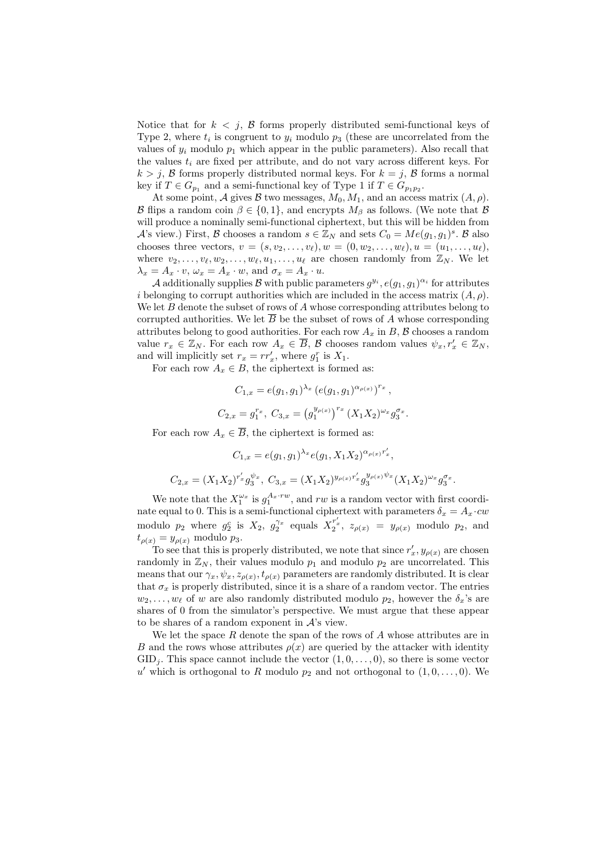Notice that for  $k < j$ ,  $\beta$  forms properly distributed semi-functional keys of Type 2, where  $t_i$  is congruent to  $y_i$  modulo  $p_3$  (these are uncorrelated from the values of  $y_i$  modulo  $p_1$  which appear in the public parameters). Also recall that the values  $t_i$  are fixed per attribute, and do not vary across different keys. For  $k > j$ , *B* forms properly distributed normal keys. For  $k = j$ , *B* forms a normal key if  $T \in G_{p_1}$  and a semi-functional key of Type 1 if  $T \in G_{p_1p_2}$ .

At some point, *A* gives *B* two messages,  $M_0, M_1$ , and an access matrix  $(A, \rho)$ . *B* flips a random coin  $\beta \in \{0, 1\}$ , and encrypts  $M_{\beta}$  as follows. (We note that *B* will produce a nominally semi-functional ciphertext, but this will be hidden from *A*'s view.) First, *B* chooses a random  $s \in \mathbb{Z}_N$  and sets  $C_0 = Me(g_1, g_1)^s$ . *B* also chooses three vectors,  $v = (s, v_2, \ldots, v_\ell), w = (0, w_2, \ldots, w_\ell), u = (u_1, \ldots, u_\ell),$ where  $v_2, \ldots, v_\ell, w_2, \ldots, w_\ell, u_1, \ldots, u_\ell$  are chosen randomly from  $\mathbb{Z}_N$ . We let  $\lambda_x = A_x \cdot v, \ \omega_x = A_x \cdot w, \ \text{and} \ \sigma_x = A_x \cdot u.$ 

*A* additionally supplies *B* with public parameters  $g^{y_i}, e(g_1, g_1)^{\alpha_i}$  for attributes *i* belonging to corrupt authorities which are included in the access matrix  $(A, \rho)$ . We let *B* denote the subset of rows of *A* whose corresponding attributes belong to corrupted authorities. We let  $\overline{B}$  be the subset of rows of A whose corresponding attributes belong to good authorities. For each row  $A_x$  in  $B$ ,  $B$  chooses a random value  $r_x \in \mathbb{Z}_N$ . For each row  $A_x \in B$ ,  $B$  chooses random values  $\psi_x, r'_x \in \mathbb{Z}_N$ , and will implicitly set  $r_x = rr'_x$ , where  $g_1^r$  is  $X_1$ .

For each row  $A_x \in B$ , the ciphertext is formed as:

$$
C_{1,x} = e(g_1, g_1)^{\lambda_x} (e(g_1, g_1)^{\alpha_{\rho(x)}})^{r_x},
$$
  

$$
C_{2,x} = g_1^{r_x}, C_{3,x} = (g_1^{y_{\rho(x)}})^{r_x} (X_1 X_2)^{\omega_x} g_3^{\sigma_x}.
$$

For each row  $A_x \in \overline{B}$ , the ciphertext is formed as:

$$
C_{1,x} = e(g_1, g_1)^{\lambda_x} e(g_1, X_1 X_2)^{\alpha_{\rho(x)} r'_x},
$$
  

$$
C_{2,x} = (X_1 X_2)^{r'_x} g_3^{\psi_x}, C_{3,x} = (X_1 X_2)^{y_{\rho(x)} r'_x} g_3^{y_{\rho(x)} \psi_x} (X_1 X_2)^{\omega_x} g_3^{\sigma_x}
$$

*.*

We note that the  $X_1^{\omega_x}$  is  $g_1^{A_x \cdot rw}$ , and  $rw$  is a random vector with first coordinate equal to 0. This is a semi-functional ciphertext with parameters  $\delta_x = A_x \cdot cw$ modulo  $p_2$  where  $g_2^c$  is  $X_2$ ,  $g_2^{\gamma_x}$  equals  $X_2^{r'_x}$ ,  $z_{\rho(x)} = y_{\rho(x)}$  modulo  $p_2$ , and  $t_{\rho(x)} = y_{\rho(x)}$  modulo  $p_3$ .

To see that this is properly distributed, we note that since  $r'_x, y_{\rho(x)}$  are chosen randomly in  $\mathbb{Z}_N$ , their values modulo  $p_1$  and modulo  $p_2$  are uncorrelated. This means that our  $\gamma_x, \psi_x, z_{\rho(x)}, t_{\rho(x)}$  parameters are randomly distributed. It is clear that  $\sigma_x$  is properly distributed, since it is a share of a random vector. The entries  $w_2, \ldots, w_\ell$  of *w* are also randomly distributed modulo  $p_2$ , however the  $\delta_x$ 's are shares of 0 from the simulator's perspective. We must argue that these appear to be shares of a random exponent in *A*'s view.

We let the space *R* denote the span of the rows of *A* whose attributes are in *B* and the rows whose attributes  $\rho(x)$  are queried by the attacker with identity  $GID<sub>i</sub>$ . This space cannot include the vector  $(1,0,\ldots,0)$ , so there is some vector  $u'$  which is orthogonal to *R* modulo  $p_2$  and not orthogonal to  $(1, 0, \ldots, 0)$ . We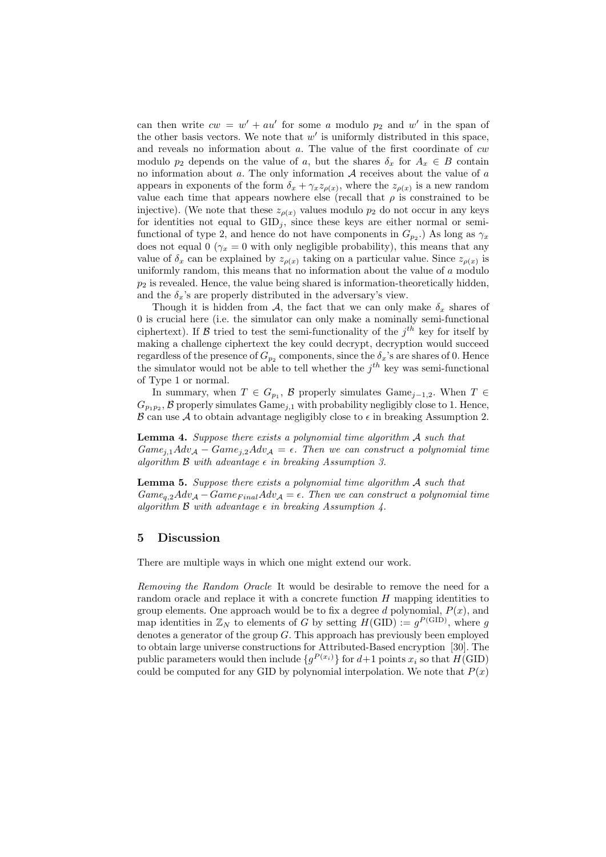can then write  $cw = w' + au'$  for some *a* modulo  $p_2$  and  $w'$  in the span of the other basis vectors. We note that  $w'$  is uniformly distributed in this space, and reveals no information about *a*. The value of the first coordinate of *cw* modulo  $p_2$  depends on the value of *a*, but the shares  $\delta_x$  for  $A_x \in B$  contain no information about *a*. The only information *A* receives about the value of *a* appears in exponents of the form  $\delta_x + \gamma_x z_{\rho(x)}$ , where the  $z_{\rho(x)}$  is a new random value each time that appears nowhere else (recall that  $\rho$  is constrained to be injective). (We note that these  $z_{\rho(x)}$  values modulo  $p_2$  do not occur in any keys for identities not equal to  $GID<sub>j</sub>$ , since these keys are either normal or semifunctional of type 2, and hence do not have components in  $G_{p_2}$ .) As long as  $\gamma_x$ does not equal 0 ( $\gamma_x = 0$  with only negligible probability), this means that any value of  $\delta_x$  can be explained by  $z_{\rho(x)}$  taking on a particular value. Since  $z_{\rho(x)}$  is uniformly random, this means that no information about the value of *a* modulo  $p_2$  is revealed. Hence, the value being shared is information-theoretically hidden, and the  $\delta_x$ 's are properly distributed in the adversary's view.

Though it is hidden from *A*, the fact that we can only make  $\delta_x$  shares of 0 is crucial here (i.e. the simulator can only make a nominally semi-functional ciphertext). If  $\beta$  tried to test the semi-functionality of the  $j^{th}$  key for itself by making a challenge ciphertext the key could decrypt, decryption would succeed regardless of the presence of  $G_{p_2}$  components, since the  $\delta_x$ 's are shares of 0. Hence the simulator would not be able to tell whether the *j th* key was semi-functional of Type 1 or normal.

In summary, when *T* ∈  $G_{p_1}$ , *B* properly simulates Game<sub>*j*</sub><sup>−1</sup>,2. When *T* ∈  $G_{p_1p_2}$ ,  $B$  properly simulates  $\text{Game}_{j,1}$  with probability negligibly close to 1. Hence,  $B$  can use  $A$  to obtain advantage negligibly close to  $\epsilon$  in breaking Assumption 2.

**Lemma 4.** *Suppose there exists a polynomial time algorithm A such that*  $Game<sub>j,1</sub> Adv<sub>A</sub> - Game<sub>j,2</sub> Adv<sub>A</sub> = \epsilon$ . Then we can construct a polynomial time *algorithm*  $B$  *with advantage*  $\epsilon$  *in breaking Assumption 3.* 

**Lemma 5.** *Suppose there exists a polynomial time algorithm A such that*  $Game_{q,2}Adv_{\mathcal{A}} - Game_{Final}Adv_{\mathcal{A}} = \epsilon$ . Then we can construct a polynomial time *algorithm*  $\mathcal B$  *with advantage*  $\epsilon$  *in breaking Assumption 4.* 

## **5 Discussion**

There are multiple ways in which one might extend our work.

*Removing the Random Oracle* It would be desirable to remove the need for a random oracle and replace it with a concrete function *H* mapping identities to group elements. One approach would be to fix a degree  $d$  polynomial,  $P(x)$ , and map identities in  $\mathbb{Z}_N$  to elements of *G* by setting  $H(\text{GID}) := g^{P(\text{GID})}$ , where *g* denotes a generator of the group *G*. This approach has previously been employed to obtain large universe constructions for Attributed-Based encryption [30]. The public parameters would then include  ${g^{P(x_i)}}$  for  $d+1$  points  $x_i$  so that  $H(\text{GID})$ could be computed for any GID by polynomial interpolation. We note that  $P(x)$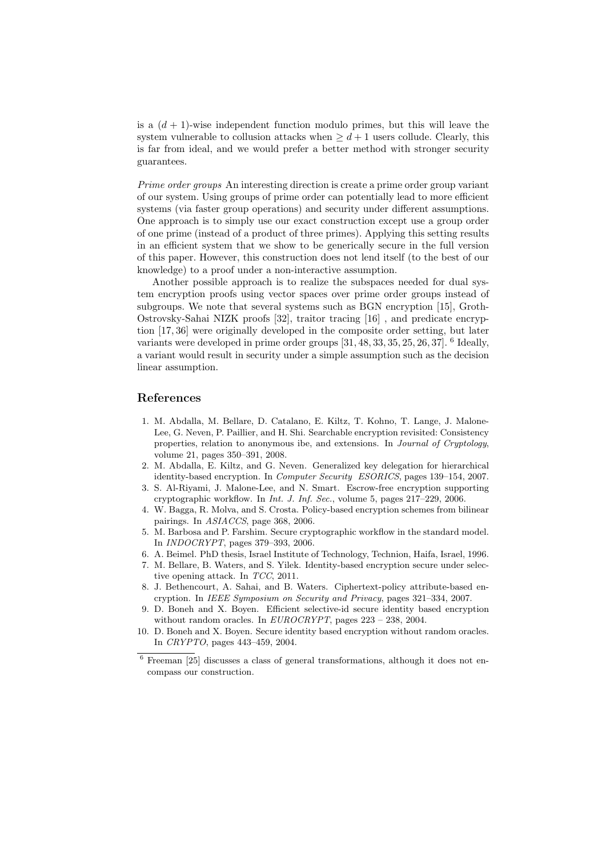is a  $(d+1)$ -wise independent function modulo primes, but this will leave the system vulnerable to collusion attacks when  $\geq d+1$  users collude. Clearly, this is far from ideal, and we would prefer a better method with stronger security guarantees.

*Prime order groups* An interesting direction is create a prime order group variant of our system. Using groups of prime order can potentially lead to more efficient systems (via faster group operations) and security under different assumptions. One approach is to simply use our exact construction except use a group order of one prime (instead of a product of three primes). Applying this setting results in an efficient system that we show to be generically secure in the full version of this paper. However, this construction does not lend itself (to the best of our knowledge) to a proof under a non-interactive assumption.

Another possible approach is to realize the subspaces needed for dual system encryption proofs using vector spaces over prime order groups instead of subgroups. We note that several systems such as BGN encryption [15], Groth-Ostrovsky-Sahai NIZK proofs [32], traitor tracing [16] , and predicate encryption [17, 36] were originally developed in the composite order setting, but later variants were developed in prime order groups [31, 48, 33, 35, 25, 26, 37]. <sup>6</sup> Ideally, a variant would result in security under a simple assumption such as the decision linear assumption.

### **References**

- 1. M. Abdalla, M. Bellare, D. Catalano, E. Kiltz, T. Kohno, T. Lange, J. Malone-Lee, G. Neven, P. Paillier, and H. Shi. Searchable encryption revisited: Consistency properties, relation to anonymous ibe, and extensions. In *Journal of Cryptology*, volume 21, pages 350–391, 2008.
- 2. M. Abdalla, E. Kiltz, and G. Neven. Generalized key delegation for hierarchical identity-based encryption. In *Computer Security ESORICS*, pages 139–154, 2007.
- 3. S. Al-Riyami, J. Malone-Lee, and N. Smart. Escrow-free encryption supporting cryptographic workflow. In *Int. J. Inf. Sec.*, volume 5, pages 217–229, 2006.
- 4. W. Bagga, R. Molva, and S. Crosta. Policy-based encryption schemes from bilinear pairings. In *ASIACCS*, page 368, 2006.
- 5. M. Barbosa and P. Farshim. Secure cryptographic workflow in the standard model. In *INDOCRYPT*, pages 379–393, 2006.
- 6. A. Beimel. PhD thesis, Israel Institute of Technology, Technion, Haifa, Israel, 1996.
- 7. M. Bellare, B. Waters, and S. Yilek. Identity-based encryption secure under selective opening attack. In *TCC*, 2011.
- 8. J. Bethencourt, A. Sahai, and B. Waters. Ciphertext-policy attribute-based encryption. In *IEEE Symposium on Security and Privacy*, pages 321–334, 2007.
- 9. D. Boneh and X. Boyen. Efficient selective-id secure identity based encryption without random oracles. In *EUROCRYPT*, pages 223 – 238, 2004.
- 10. D. Boneh and X. Boyen. Secure identity based encryption without random oracles. In *CRYPTO*, pages 443–459, 2004.

 $^6$  Freeman [25] discusses a class of general transformations, although it does not encompass our construction.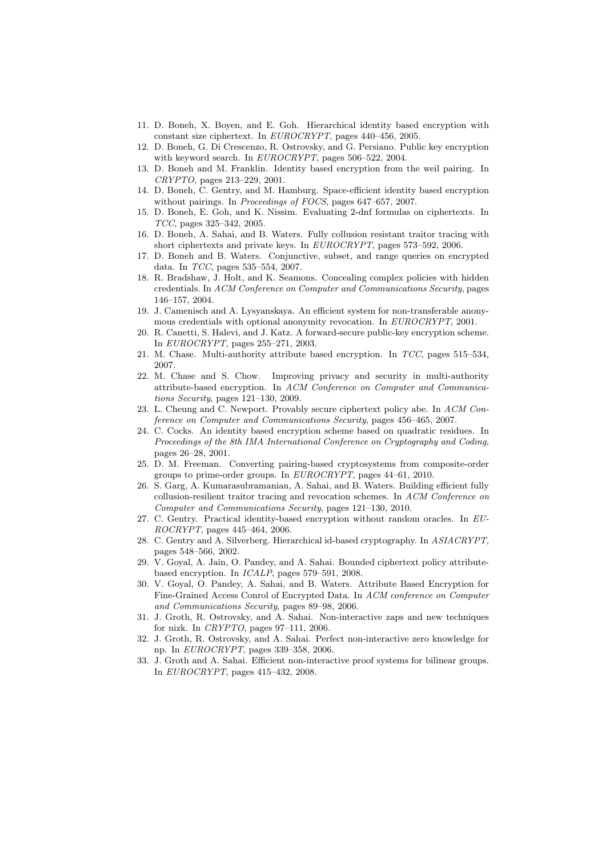- 11. D. Boneh, X. Boyen, and E. Goh. Hierarchical identity based encryption with constant size ciphertext. In *EUROCRYPT*, pages 440–456, 2005.
- 12. D. Boneh, G. Di Crescenzo, R. Ostrovsky, and G. Persiano. Public key encryption with keyword search. In *EUROCRYPT*, pages 506–522, 2004.
- 13. D. Boneh and M. Franklin. Identity based encryption from the weil pairing. In *CRYPTO*, pages 213–229, 2001.
- 14. D. Boneh, C. Gentry, and M. Hamburg. Space-efficient identity based encryption without pairings. In *Proceedings of FOCS*, pages 647–657, 2007.
- 15. D. Boneh, E. Goh, and K. Nissim. Evaluating 2-dnf formulas on ciphertexts. In *TCC*, pages 325–342, 2005.
- 16. D. Boneh, A. Sahai, and B. Waters. Fully collusion resistant traitor tracing with short ciphertexts and private keys. In *EUROCRYPT*, pages 573–592, 2006.
- 17. D. Boneh and B. Waters. Conjunctive, subset, and range queries on encrypted data. In *TCC*, pages 535–554, 2007.
- 18. R. Bradshaw, J. Holt, and K. Seamons. Concealing complex policies with hidden credentials. In *ACM Conference on Computer and Communications Security*, pages 146–157, 2004.
- 19. J. Camenisch and A. Lysyanskaya. An efficient system for non-transferable anonymous credentials with optional anonymity revocation. In *EUROCRYPT*, 2001.
- 20. R. Canetti, S. Halevi, and J. Katz. A forward-secure public-key encryption scheme. In *EUROCRYPT*, pages 255–271, 2003.
- 21. M. Chase. Multi-authority attribute based encryption. In *TCC*, pages 515–534, 2007.
- 22. M. Chase and S. Chow. Improving privacy and security in multi-authority attribute-based encryption. In *ACM Conference on Computer and Communications Security*, pages 121–130, 2009.
- 23. L. Cheung and C. Newport. Provably secure ciphertext policy abe. In *ACM Conference on Computer and Communications Security*, pages 456–465, 2007.
- 24. C. Cocks. An identity based encryption scheme based on quadratic residues. In *Proceedings of the 8th IMA International Conference on Cryptography and Coding*, pages 26–28, 2001.
- 25. D. M. Freeman. Converting pairing-based cryptosystems from composite-order groups to prime-order groups. In *EUROCRYPT*, pages 44–61, 2010.
- 26. S. Garg, A. Kumarasubramanian, A. Sahai, and B. Waters. Building efficient fully collusion-resilient traitor tracing and revocation schemes. In *ACM Conference on Computer and Communications Security*, pages 121–130, 2010.
- 27. C. Gentry. Practical identity-based encryption without random oracles. In *EU-ROCRYPT*, pages 445–464, 2006.
- 28. C. Gentry and A. Silverberg. Hierarchical id-based cryptography. In *ASIACRYPT*, pages 548–566, 2002.
- 29. V. Goyal, A. Jain, O. Pandey, and A. Sahai. Bounded ciphertext policy attributebased encryption. In *ICALP*, pages 579–591, 2008.
- 30. V. Goyal, O. Pandey, A. Sahai, and B. Waters. Attribute Based Encryption for Fine-Grained Access Conrol of Encrypted Data. In *ACM conference on Computer and Communications Security*, pages 89–98, 2006.
- 31. J. Groth, R. Ostrovsky, and A. Sahai. Non-interactive zaps and new techniques for nizk. In *CRYPTO*, pages 97–111, 2006.
- 32. J. Groth, R. Ostrovsky, and A. Sahai. Perfect non-interactive zero knowledge for np. In *EUROCRYPT*, pages 339–358, 2006.
- 33. J. Groth and A. Sahai. Efficient non-interactive proof systems for bilinear groups. In *EUROCRYPT*, pages 415–432, 2008.